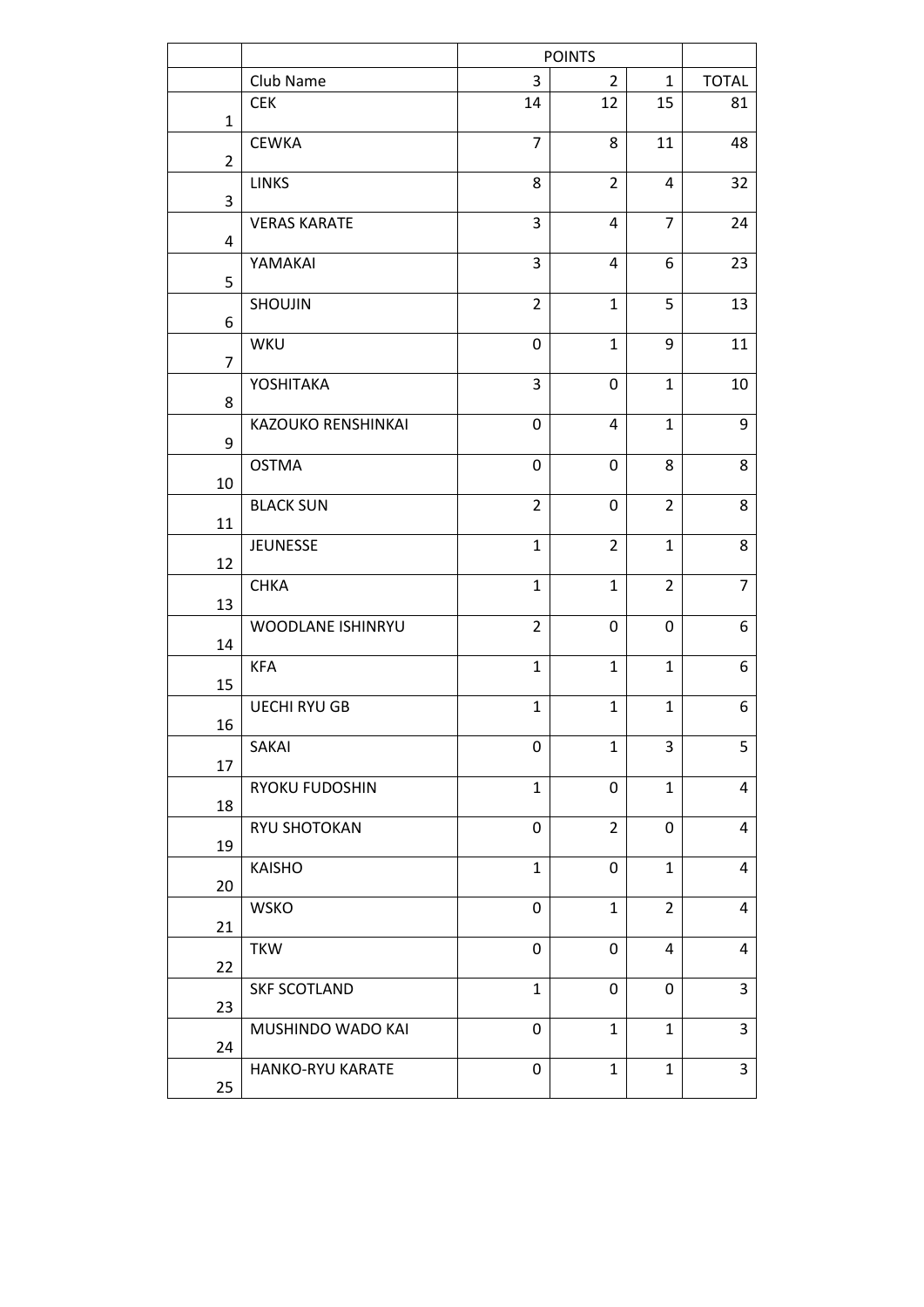|                |                       |                  | <b>POINTS</b>  |                |                |
|----------------|-----------------------|------------------|----------------|----------------|----------------|
|                | Club Name             | 3                | $\overline{2}$ | $\mathbf{1}$   | <b>TOTAL</b>   |
| $\mathbf{1}$   | <b>CEK</b>            | 14               | 12             | 15             | 81             |
| $\overline{2}$ | <b>CEWKA</b>          | $\overline{7}$   | 8              | 11             | 48             |
| 3              | <b>LINKS</b>          | 8                | $\overline{2}$ | 4              | 32             |
| 4              | <b>VERAS KARATE</b>   | $\mathsf 3$      | 4              | $\overline{7}$ | 24             |
| 5              | YAMAKAI               | 3                | 4              | 6              | 23             |
| 6              | SHOUJIN               | $\overline{2}$   | $\mathbf{1}$   | 5              | 13             |
| $\overline{7}$ | WKU                   | 0                | $\mathbf{1}$   | 9              | 11             |
| 8              | YOSHITAKA             | 3                | 0              | $\mathbf{1}$   | 10             |
| 9              | KAZOUKO RENSHINKAI    | $\mathbf 0$      | 4              | $\mathbf{1}$   | 9              |
| 10             | <b>OSTMA</b>          | $\boldsymbol{0}$ | 0              | 8              | 8              |
| 11             | <b>BLACK SUN</b>      | $\overline{2}$   | 0              | $\overline{2}$ | 8              |
| 12             | <b>JEUNESSE</b>       | $\mathbf{1}$     | $\overline{2}$ | $\mathbf{1}$   | 8              |
| 13             | <b>CHKA</b>           | $\mathbf{1}$     | $\mathbf{1}$   | $\overline{2}$ | $\overline{7}$ |
| 14             | WOODLANE ISHINRYU     | $\overline{2}$   | 0              | 0              | 6              |
| 15             | <b>KFA</b>            | $\mathbf{1}$     | $\mathbf{1}$   | $\mathbf{1}$   | 6              |
| 16             | <b>UECHI RYU GB</b>   | $\mathbf{1}$     | $\mathbf{1}$   | $\mathbf{1}$   | 6              |
| 17             | SAKAI                 | 0                | $\mathbf{1}$   | 3              | 5              |
| 18             | <b>RYOKU FUDOSHIN</b> | $\mathbf{1}$     | 0              | $\mathbf{1}$   | 4              |
| 19             | RYU SHOTOKAN          | 0                | $\overline{2}$ | 0              | $\overline{4}$ |
| 20             | <b>KAISHO</b>         | $\mathbf{1}$     | 0              | $\mathbf{1}$   | 4              |
| 21             | <b>WSKO</b>           | $\boldsymbol{0}$ | $\mathbf{1}$   | $\overline{2}$ | 4              |
| 22             | <b>TKW</b>            | 0                | 0              | 4              | $\overline{4}$ |
| 23             | <b>SKF SCOTLAND</b>   | $\mathbf{1}$     | 0              | 0              | 3              |
| 24             | MUSHINDO WADO KAI     | 0                | $\mathbf{1}$   | $\mathbf{1}$   | 3              |
| 25             | HANKO-RYU KARATE      | 0                | $\mathbf{1}$   | $\mathbf{1}$   | 3              |